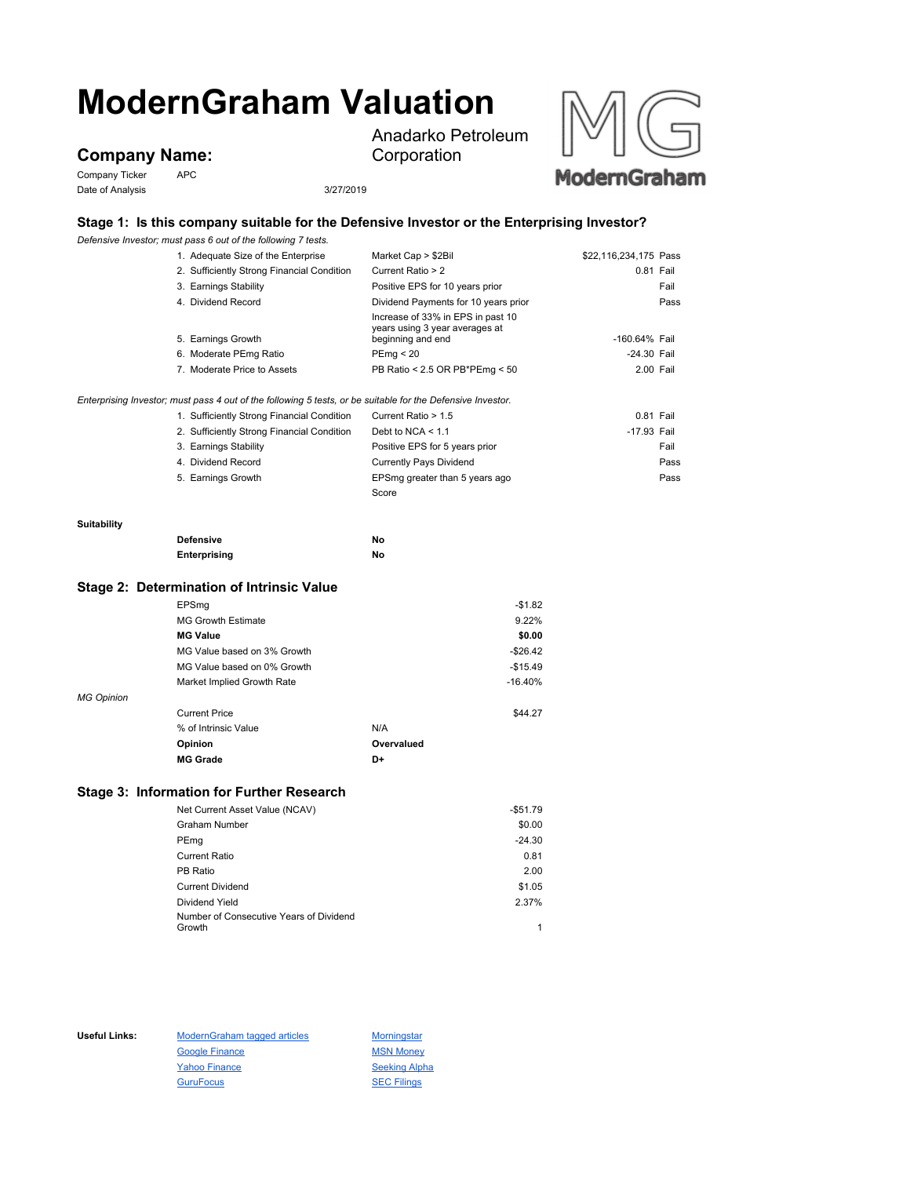# **ModernGraham Valuation**

## **Company Name:**

Company Ticker APC Date of Analysis 3/27/2019

Anadarko Petroleum Corporation



#### **Stage 1: Is this company suitable for the Defensive Investor or the Enterprising Investor?**

*Defensive Investor; must pass 6 out of the following 7 tests.*

| Market Cap > \$2Bil                                                                                         | \$22,116,234,175 Pass          |      |
|-------------------------------------------------------------------------------------------------------------|--------------------------------|------|
| Current Ratio > 2                                                                                           | 0.81 Fail                      |      |
| 3. Earnings Stability<br>Positive EPS for 10 years prior                                                    |                                | Fail |
| Dividend Payments for 10 years prior                                                                        |                                | Pass |
| Increase of 33% in EPS in past 10                                                                           |                                |      |
| beginning and end                                                                                           | -160.64% Fail                  |      |
| PEmq < 20                                                                                                   | -24.30 Fail                    |      |
| PB Ratio < 2.5 OR PB*PEmg < 50                                                                              | 2.00 Fail                      |      |
| Enterprising Investor; must pass 4 out of the following 5 tests, or be suitable for the Defensive Investor. |                                |      |
| Current Ratio > 1.5                                                                                         | 0.81 Fail                      |      |
| Debt to NCA $\leq 1.1$                                                                                      | -17.93 Fail                    |      |
| Positive EPS for 5 years prior                                                                              |                                | Fail |
| <b>Currently Pays Dividend</b>                                                                              |                                | Pass |
| EPSmg greater than 5 years ago                                                                              |                                | Pass |
| Score                                                                                                       |                                |      |
|                                                                                                             |                                |      |
| No                                                                                                          |                                |      |
| No                                                                                                          |                                |      |
|                                                                                                             |                                |      |
| $-$1.82$                                                                                                    |                                |      |
| 9.22%                                                                                                       |                                |      |
| \$0.00                                                                                                      |                                |      |
| $-$26.42$                                                                                                   |                                |      |
| $-$15.49$                                                                                                   |                                |      |
| $-16.40%$                                                                                                   |                                |      |
|                                                                                                             | years using 3 year averages at |      |

*MG Opinion*

| <i><b>Upinion</b></i> |                      |            |         |
|-----------------------|----------------------|------------|---------|
|                       | <b>Current Price</b> |            | \$44.27 |
|                       | % of Intrinsic Value | N/A        |         |
|                       | Opinion              | Overvalued |         |
|                       | <b>MG Grade</b>      | D+         |         |
|                       |                      |            |         |

### **Stage 3: Information for Further Research**

| Net Current Asset Value (NCAV)          | $-$51.79$ |
|-----------------------------------------|-----------|
| <b>Graham Number</b>                    | \$0.00    |
| PEmg                                    | $-24.30$  |
| <b>Current Ratio</b>                    | 0.81      |
| PB Ratio                                | 2.00      |
| <b>Current Dividend</b>                 | \$1.05    |
| Dividend Yield                          | 2.37%     |
| Number of Consecutive Years of Dividend |           |
| Growth                                  | 1         |

Useful Links: ModernGraham tagged articles Morningstar Google Finance MSN Money Yahoo Finance Seeking Alpha GuruFocus **SEC Filings**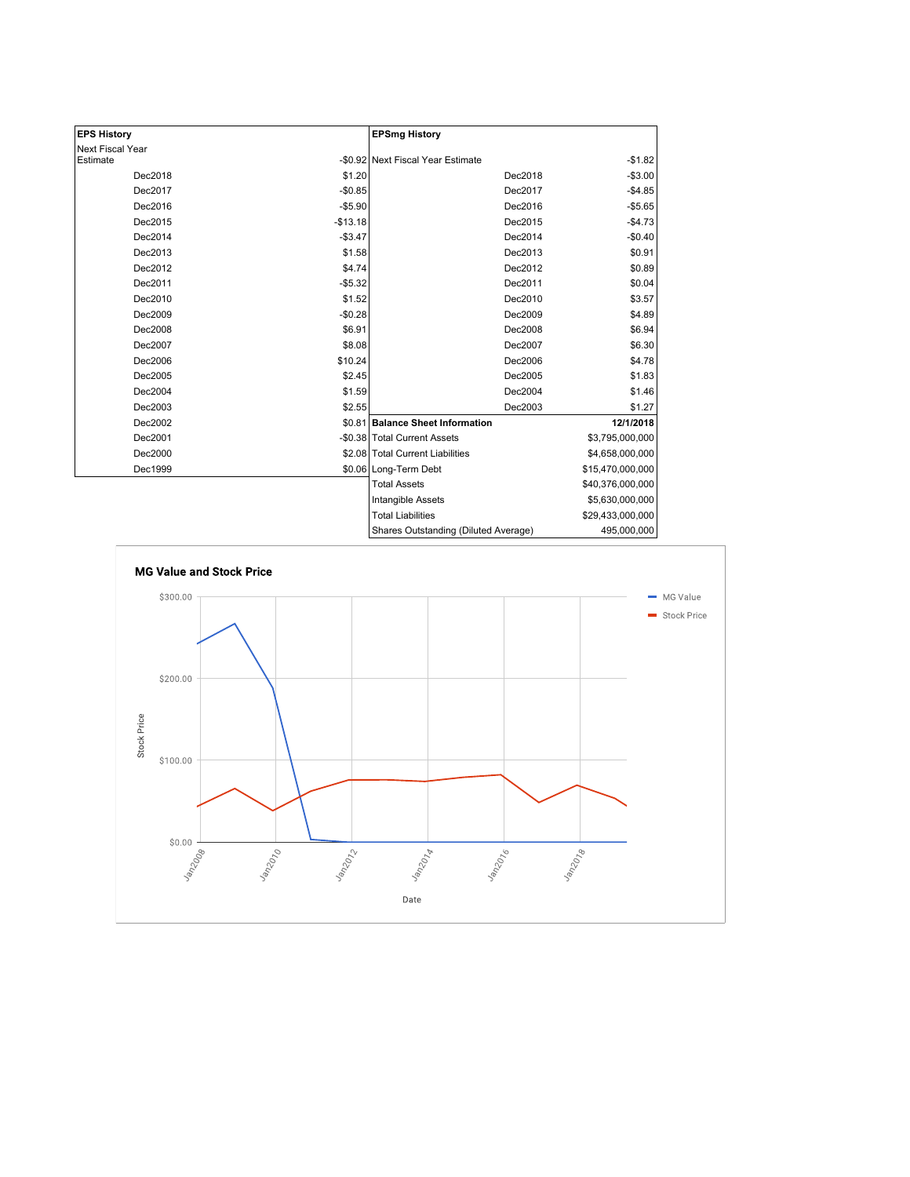| <b>EPS History</b> |           | <b>EPSmg History</b>                 |                  |
|--------------------|-----------|--------------------------------------|------------------|
| Next Fiscal Year   |           |                                      |                  |
| Estimate           |           | -\$0.92 Next Fiscal Year Estimate    | $-$1.82$         |
| Dec2018            | \$1.20    | Dec2018                              | $-$3.00$         |
| Dec2017            | $-$0.85$  | Dec2017                              | $-$4.85$         |
| Dec2016            | $-$5.90$  | Dec2016                              | $-$5.65$         |
| Dec2015            | $-$13.18$ | Dec2015                              | $-$4.73$         |
| Dec2014            | $-$3.47$  | Dec2014                              | $-$0.40$         |
| Dec2013            | \$1.58    | Dec2013                              | \$0.91           |
| Dec2012            | \$4.74    | Dec2012                              | \$0.89           |
| Dec2011            | $-$5.32$  | Dec2011                              | \$0.04           |
| Dec2010            | \$1.52    | Dec2010                              | \$3.57           |
| Dec2009            | $-$0.28$  | Dec2009                              | \$4.89           |
| Dec2008            | \$6.91    | Dec2008                              | \$6.94           |
| Dec2007            | \$8.08    | Dec2007                              | \$6.30           |
| Dec2006            | \$10.24   | Dec2006                              | \$4.78           |
| Dec2005            | \$2.45    | Dec2005                              | \$1.83           |
| Dec2004            | \$1.59    | Dec2004                              | \$1.46           |
| Dec2003            | \$2.55    | Dec2003                              | \$1.27           |
| Dec2002            |           | \$0.81 Balance Sheet Information     | 12/1/2018        |
| Dec2001            |           | -\$0.38 Total Current Assets         | \$3,795,000,000  |
| Dec2000            |           | \$2.08 Total Current Liabilities     | \$4,658,000,000  |
| Dec1999            |           | \$0.06 Long-Term Debt                | \$15,470,000,000 |
|                    |           | <b>Total Assets</b>                  | \$40,376,000,000 |
|                    |           | Intangible Assets                    | \$5,630,000,000  |
|                    |           | <b>Total Liabilities</b>             | \$29,433,000,000 |
|                    |           | Shares Outstanding (Diluted Average) | 495,000,000      |